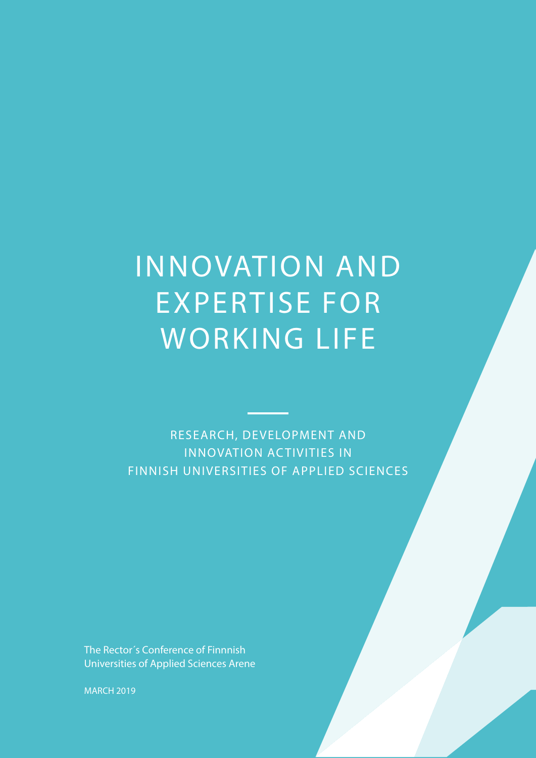# INNOVATION AND EXPERTISE FOR WORKING LIFE

RESEARCH, DEVELOPMENT AND INNOVATION ACTIVITIES IN FINNISH UNIVERSITIES OF APPLIED SCIENCES

The Rector´s Conference of Finnnish Universities of Applied Sciences Arene

MARCH 2019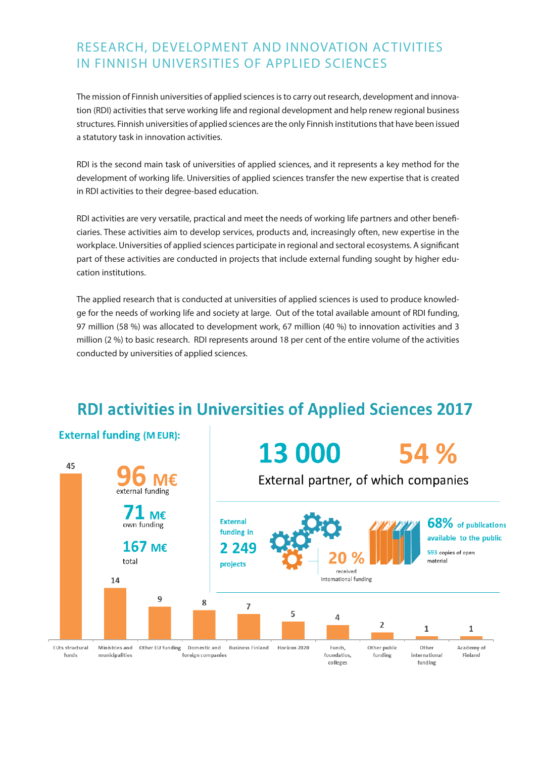### RESEARCH, DEVELOPMENT AND INNOVATION ACTIVITIES IN FINNISH UNIVERSITIES OF APPLIED SCIENCES

The mission of Finnish universities of applied sciences is to carry out research, development and innovation (RDI) activities that serve working life and regional development and help renew regional business structures. Finnish universities of applied sciences are the only Finnish institutions that have been issued a statutory task in innovation activities.

RDI is the second main task of universities of applied sciences, and it represents a key method for the development of working life. Universities of applied sciences transfer the new expertise that is created in RDI activities to their degree-based education.

RDI activities are very versatile, practical and meet the needs of working life partners and other beneficiaries. These activities aim to develop services, products and, increasingly often, new expertise in the workplace. Universities of applied sciences participate in regional and sectoral ecosystems. A significant part of these activities are conducted in projects that include external funding sought by higher education institutions.

The applied research that is conducted at universities of applied sciences is used to produce knowledge for the needs of working life and society at large. Out of the total available amount of RDI funding, 97 million (58 %) was allocated to development work, 67 million (40 %) to innovation activities and 3 million (2 %) to basic research. RDI represents around 18 per cent of the entire volume of the activities conducted by universities of applied sciences.

## **RDI activities in Universities of Applied Sciences 2017**

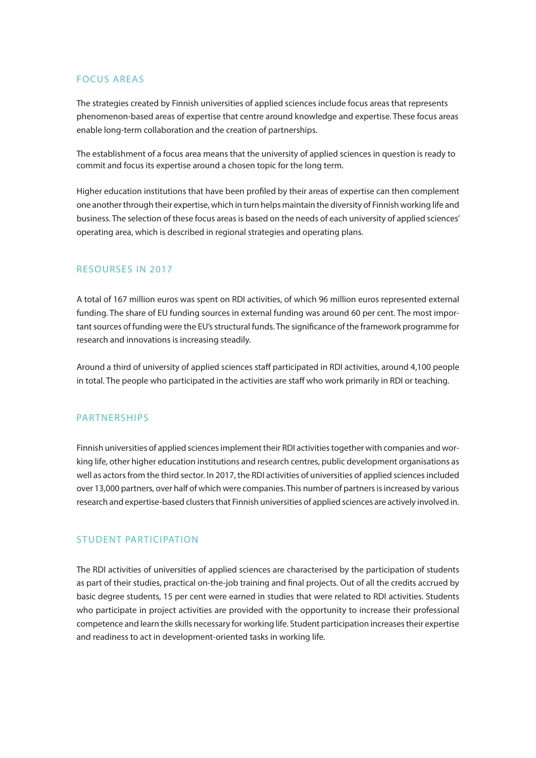#### FOCUS AREAS

The strategies created by Finnish universities of applied sciences include focus areas that represents phenomenon-based areas of expertise that centre around knowledge and expertise. These focus areas enable long-term collaboration and the creation of partnerships.

The establishment of a focus area means that the university of applied sciences in question is ready to commit and focus its expertise around a chosen topic for the long term.

Higher education institutions that have been profiled by their areas of expertise can then complement one another through their expertise, which in turn helps maintain the diversity of Finnish working life and business. The selection of these focus areas is based on the needs of each university of applied sciences' operating area, which is described in regional strategies and operating plans.

#### RESOURSES IN 2017

A total of 167 million euros was spent on RDI activities, of which 96 million euros represented external funding. The share of EU funding sources in external funding was around 60 per cent. The most important sources of funding were the EU's structural funds. The significance of the framework programme for research and innovations is increasing steadily.

Around a third of university of applied sciences staff participated in RDI activities, around 4,100 people in total. The people who participated in the activities are staff who work primarily in RDI or teaching.

#### **PARTNERSHIPS**

Finnish universities of applied sciences implement their RDI activities together with companies and working life, other higher education institutions and research centres, public development organisations as well as actors from the third sector. In 2017, the RDI activities of universities of applied sciences included over 13,000 partners, over half of which were companies. This number of partners is increased by various research and expertise-based clusters that Finnish universities of applied sciences are actively involved in.

#### STUDENT PARTICIPATION

The RDI activities of universities of applied sciences are characterised by the participation of students as part of their studies, practical on-the-job training and final projects. Out of all the credits accrued by basic degree students, 15 per cent were earned in studies that were related to RDI activities. Students who participate in project activities are provided with the opportunity to increase their professional competence and learn the skills necessary for working life. Student participation increases their expertise and readiness to act in development-oriented tasks in working life.